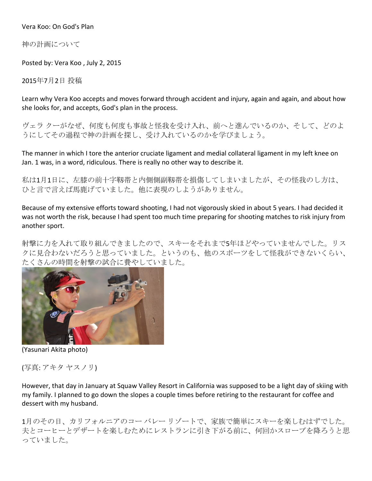Vera Koo: On God's Plan

神の計画について

Posted by: Vera Koo, July 2, 2015

2015年7月2日 投稿

Learn why Vera Koo accepts and moves forward through accident and injury, again and again, and about how she looks for, and accepts, God's plan in the process.

ヴェラ クーがなぜ、何度も何度も事故と怪我を受け入れ、前へと進んでいるのか、そして、どのよ うにしてその過程で神の計画を探し、受け入れているのかを学びましょう。

The manner in which I tore the anterior cruciate ligament and medial collateral ligament in my left knee on Jan. 1 was, in a word, ridiculous. There is really no other way to describe it.

私は1月1日に、左膝の前十字靱帯と内側側副靱帯を損傷してしまいましたが、その怪我のし方は、 ひと言で言えば馬鹿げていました。他に表現のしようがありません。

Because of my extensive efforts toward shooting, I had not vigorously skied in about 5 years. I had decided it was not worth the risk, because I had spent too much time preparing for shooting matches to risk injury from another sport.

射撃に力を入れて取り組んできましたので、スキーをそれまで5年ほどやっていませんでした。リス クに見合わないだろうと思っていました。というのも、他のスポーツをして怪我ができないくらい、 たくさんの時間を射撃の試合に費やしていました。



(Yasunari Akita photo)

(写真:アキタヤスノリ)

However, that day in January at Squaw Valley Resort in California was supposed to be a light day of skiing with my family. I planned to go down the slopes a couple times before retiring to the restaurant for coffee and dessert with my husband.

1月のその日、カリフォルニアのコーバレーリゾートで、家族で簡単にスキーを楽しむはずでした。 夫とコーヒーとデザートを楽しむためにレストランに引き下がる前に、何回かスロープを降ろうと思 っていました。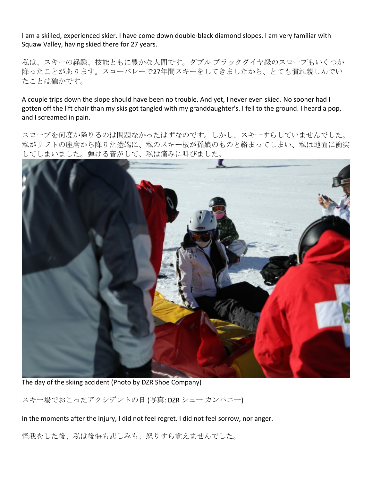I am a skilled, experienced skier. I have come down double-black diamond slopes. I am very familiar with Squaw Valley, having skied there for 27 years.

私は、スキーの経験、技能ともに豊かな人間です。ダブルブラックダイヤ級のスロープもいくつか 降ったことがあります。スコーバレーで27年間スキーをしてきましたから、とても慣れ親しんでい たことは確かです。

A couple trips down the slope should have been no trouble. And yet, I never even skied. No sooner had I gotten off the lift chair than my skis got tangled with my granddaughter's. I fell to the ground. I heard a pop, and I screamed in pain.

スロープを何度か降りるのは問題なかったはずなのです。しかし、スキーすらしていませんでした。 私がリフトの座席から降りた途端に、私のスキー板が孫娘のものと絡まってしまい、私は地面に衝突 してしまいました。弾ける音がして、私は痛みに叫びました。



The day of the skiing accident (Photo by DZR Shoe Company)

スキー場でおこったアクシデントの日(写真:DZR シューカンパニー)

In the moments after the injury, I did not feel regret. I did not feel sorrow, nor anger.

怪我をした後、私は後悔も悲しみも、怒りすら覚えませんでした。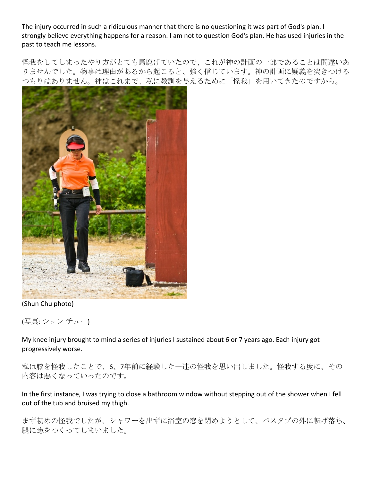The injury occurred in such a ridiculous manner that there is no questioning it was part of God's plan. I strongly believe everything happens for a reason. I am not to question God's plan. He has used injuries in the past to teach me lessons.

怪我をしてしまったやり方がとても馬鹿げていたので、これが神の計画の一部であることは間違いあ りませんでした。物事は理由があるから起こると、強く信じています。神の計画に疑義を突きつける つもりはありません。神はこれまで、私に教訓を与えるために「怪我」を用いてきたのですから。



(Shun Chu photo)

(写真:シュンチュー)

My knee injury brought to mind a series of injuries I sustained about 6 or 7 years ago. Each injury got progressively worse.

私は膝を怪我したことで、6、7年前に経験した一連の怪我を思い出しました。怪我する度に、その 内容は悪くなっていったのです。

In the first instance, I was trying to close a bathroom window without stepping out of the shower when I fell out of the tub and bruised my thigh.

まず初めの怪我でしたが、シャワーを出ずに浴室の窓を閉めようとして、バスタブの外に転げ落ち、 腿に痣をつくってしまいました。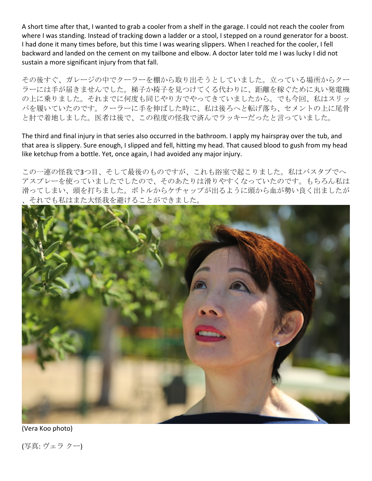A short time after that, I wanted to grab a cooler from a shelf in the garage. I could not reach the cooler from where I was standing. Instead of tracking down a ladder or a stool, I stepped on a round generator for a boost. I had done it many times before, but this time I was wearing slippers. When I reached for the cooler, I fell backward and landed on the cement on my tailbone and elbow. A doctor later told me I was lucky I did not sustain a more significant injury from that fall.

その後すぐ、ガレージの中でクーラーを棚から取り出そうとしていました。立っている場所からクー ラーには手が届きませんでした。梯子か椅子を見つけてくる代わりに、距離を稼ぐために丸い発電機 の上に乗りました。それまでに何度も同じやり方でやってきていましたから。でも今回、私はスリッ パを履いていたのです。クーラーに手を伸ばした時に、私は後ろへと転げ落ち、セメントの上に尾骨 と肘で着地しました。医者は後で、この程度の怪我で済んでラッキーだったと言っていました。

The third and final injury in that series also occurred in the bathroom. I apply my hairspray over the tub, and that area is slippery. Sure enough, I slipped and fell, hitting my head. That caused blood to gush from my head like ketchup from a bottle. Yet, once again, I had avoided any major injury.

この一連の怪我で3つ目、そして最後のものですが、これも浴室で起こりました。私はバスタブでへ アスプレーを使っていましたでしたので、そのあたりは滑りやすくなっていたのです。もちろん私は 滑ってしまい、頭を打ちました。ボトルからケチャップが出るように頭から血が勢い良く出ましたが それでも私はまた大怪我を避けることができました。



(Vera Koo photo)

(写真: ヴェラ クー)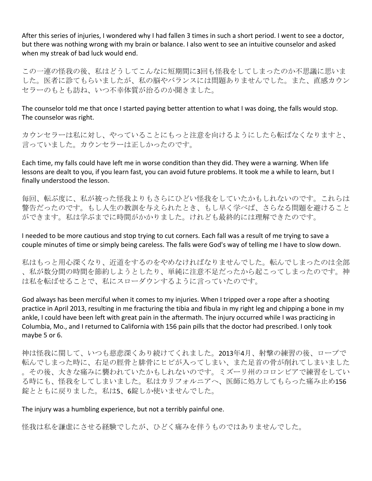After this series of injuries, I wondered why I had fallen 3 times in such a short period. I went to see a doctor, but there was nothing wrong with my brain or balance. I also went to see an intuitive counselor and asked when my streak of bad luck would end.

この一連の怪我の後、私はどうしてこんなに短期間に3回も怪我をしてしまったのか不思議に思いま した。医者に診てもらいましたが、私の脳やバランスには問題ありませんでした。また、直感カウン セラーのもとも訪ね、いつ不幸体質が治るのか聞きました。

The counselor told me that once I started paying better attention to what I was doing, the falls would stop. The counselor was right.

カウンセラーは私に対し、やっていることにもっと注意を向けるようにしたら転ばなくなりますと、 言っていました。カウンセラーは正しかったのです。

Each time, my falls could have left me in worse condition than they did. They were a warning. When life lessons are dealt to you, if you learn fast, you can avoid future problems. It took me a while to learn, but I finally understood the lesson.

毎回、転ぶ度に、私が被った怪我よりもさらにひどい怪我をしていたかもしれないのです。これらは 警告だったのです。もし人生の教訓を与えられたとき、もし早く学べば、さらなる問題を避けること ができます。私は学ぶまでに時間がかかりました。けれども最終的には理解できたのです。

I needed to be more cautious and stop trying to cut corners. Each fall was a result of me trying to save a couple minutes of time or simply being careless. The falls were God's way of telling me I have to slow down.

私はもっと用心深くなり、近道をするのをやめなければなりませんでした。転んでしまったのは全部 、私が数分間の時間を節約しようとしたり、単純に注意不足だったから起こってしまったのです。神 は私を転ばせることで、私にスローダウンするように言っていたのです。

God always has been merciful when it comes to my injuries. When I tripped over a rope after a shooting practice in April 2013, resulting in me fracturing the tibia and fibula in my right leg and chipping a bone in my ankle, I could have been left with great pain in the aftermath. The injury occurred while I was practicing in Columbia, Mo., and I returned to California with 156 pain pills that the doctor had prescribed. I only took maybe 5 or 6.

神は怪我に関して、いつも慈悲深くあり続けてくれました。2013年4月、射撃の練習の後、ロープで 転んでしまった時に、右足の脛骨と腓骨にヒビが入ってしまい、また足首の骨が削れてしまいました 。その後、大きな痛みに襲われていたかもしれないのです。ミズーリ州のコロンビアで練習をしてい る時にも、怪我をしてしまいました。私はカリフォルニアへ、医師に処方してもらった痛み止め156 錠とともに戻りました。私は5、6錠しか使いませんでした。

## The injury was a humbling experience, but not a terribly painful one.

怪我は私を謙虚にさせる経験でしたが、ひどく痛みを伴うものではありませんでした。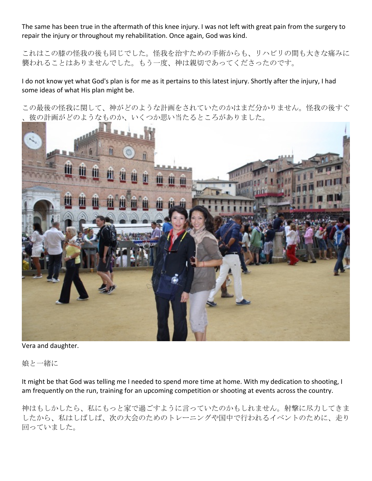The same has been true in the aftermath of this knee injury. I was not left with great pain from the surgery to repair the injury or throughout my rehabilitation. Once again, God was kind.

これはこの膝の怪我の後も同じでした。怪我を治すための手術からも、リハビリの間も大きな痛みに 襲われることはありませんでした。もう一度、神は親切であってくださったのです。

I do not know yet what God's plan is for me as it pertains to this latest injury. Shortly after the injury, I had some ideas of what His plan might be.

この最後の怪我に関して、神がどのような計画をされていたのかはまだ分かりません。怪我の後すぐ 彼の計画がどのようなものか、いくつか思い当たるところがありました。



Vera and daughter.

娘と一緒に

It might be that God was telling me I needed to spend more time at home. With my dedication to shooting, I am frequently on the run, training for an upcoming competition or shooting at events across the country.

神はもしかしたら、私にもっと家で過ごすように言っていたのかもしれません。射撃に尽力してきま したから、私はしばしば、次の大会のためのトレーニングや国中で行われるイベントのために、走り 回っていました。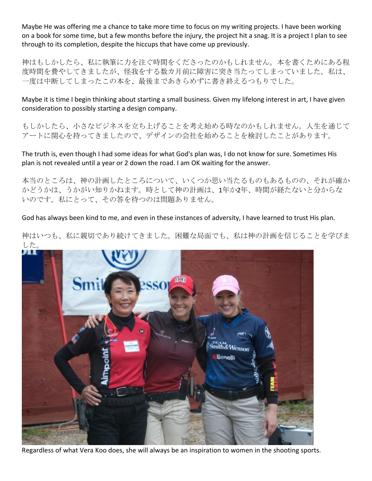Maybe He was offering me a chance to take more time to focus on my writing projects. I have been working on a book for some time, but a few months before the injury, the project hit a snag. It is a project I plan to see through to its completion, despite the hiccups that have come up previously.

神はもしかしたら、私に執筆に力を注ぐ時間をくださったのかもしれません。本を書くためにある程 度時間を費やしてきましたが、怪我をする数カ月前に障害に突き当たってしまっていました。私は、 一度は中断してしまったこの本を、最後まであきらめずに書き終えるつもりでした。

Maybe it is time I begin thinking about starting a small business. Given my lifelong interest in art, I have given consideration to possibly starting a design company.

もしかしたら、小さなビジネスを立ち上げることを考え始める時なのかもしれません。人生を通じて アートに関心を持ってきましたので、デザインの会社を始めることを検討したことがあります。

The truth is, even though I had some ideas for what God's plan was, I do not know for sure. Sometimes His plan is not revealed until a year or 2 down the road. I am OK waiting for the answer.

本当のところは、神の計画したところについて、いくつか思い当たるものもあるものの、それが確か かどうかは、うかがい知りかねます。時として神の計画は、1年か2年、時間が経たないと分からな いのです。私にとって、その答を待つのは問題ありません。

God has always been kind to me, and even in these instances of adversity, I have learned to trust His plan.

神はいつも、私に親切であり続けてきました。困難な局面でも、私は神の計画を信じることを学びま した。



Regardless of what Vera Koo does, she will always be an inspiration to women in the shooting sports.